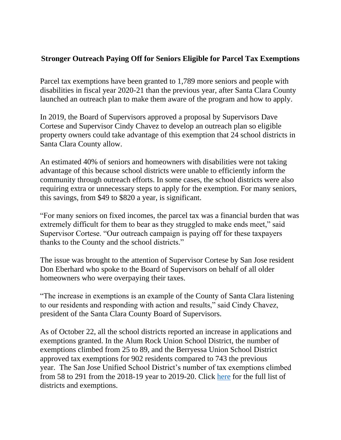## **Stronger Outreach Paying Off for Seniors Eligible for Parcel Tax Exemptions**

Parcel tax exemptions have been granted to 1,789 more seniors and people with disabilities in fiscal year 2020-21 than the previous year, after Santa Clara County launched an outreach plan to make them aware of the program and how to apply.

In 2019, the Board of Supervisors approved a proposal by Supervisors Dave Cortese and Supervisor Cindy Chavez to develop an outreach plan so eligible property owners could take advantage of this exemption that 24 school districts in Santa Clara County allow.

An estimated 40% of seniors and homeowners with disabilities were not taking advantage of this because school districts were unable to efficiently inform the community through outreach efforts. In some cases, the school districts were also requiring extra or unnecessary steps to apply for the exemption. For many seniors, this savings, from \$49 to \$820 a year, is significant.

"For many seniors on fixed incomes, the parcel tax was a financial burden that was extremely difficult for them to bear as they struggled to make ends meet," said Supervisor Cortese. "Our outreach campaign is paying off for these taxpayers thanks to the County and the school districts."

The issue was brought to the attention of Supervisor Cortese by San Jose resident Don Eberhard who spoke to the Board of Supervisors on behalf of all older homeowners who were overpaying their taxes.

"The increase in exemptions is an example of the County of Santa Clara listening to our residents and responding with action and results," said Cindy Chavez, president of the Santa Clara County Board of Supervisors.

As of October 22, all the school districts reported an increase in applications and exemptions granted. In the Alum Rock Union School District, the number of exemptions climbed from 25 to 89, and the Berryessa Union School District approved tax exemptions for 902 residents compared to 743 the previous year. The San Jose Unified School District's number of tax exemptions climbed from 58 to 291 from the 2018-19 year to 2019-20. Click [here](https://www.sccgov.org/sites/d3/Documents/School%20District%20SA%27s%20Exemptions%20Summary_Oct%202020.pdf) for the full list of districts and exemptions.